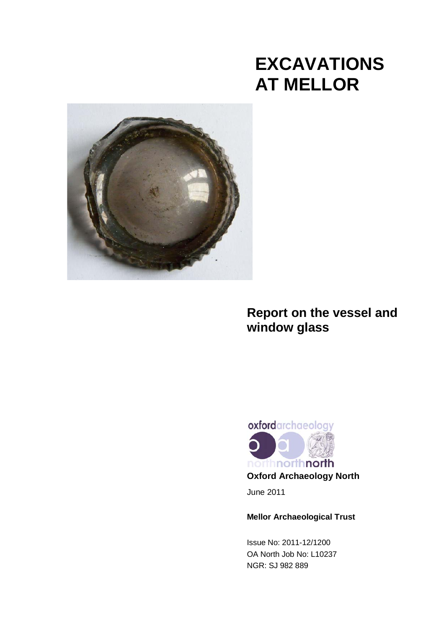# **EXCAVATIONS AT MELLOR**



# **Report on the vessel and window glass**



June 2011

## **Mellor Archaeological Trust**

Issue No: 2011-12/1200 OA North Job No: L10237 NGR: SJ 982 889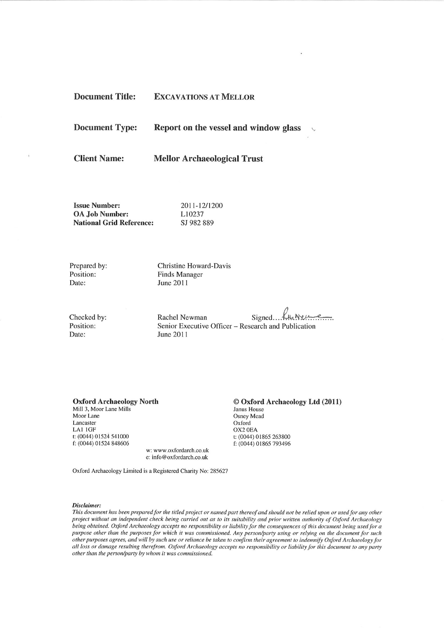| <b>Document Title:</b> | <b>EXCAVATIONS AT MELLOR</b> |  |
|------------------------|------------------------------|--|
|                        |                              |  |

**Document Type:** Report on the vessel and window glass

**Client Name:** 

 $\lambda$ 

**Mellor Archaeological Trust** 

**Issue Number: OA Job Number: National Grid Reference:**  2011-12/1200 L10237 SJ 982 889

Prepared by: Position: Date:

Christine Howard-Davis **Finds Manager** June 2011

Checked by: Position: Date:

Signed funner Rachel Newman Senior Executive Officer - Research and Publication June 2011

#### **Oxford Archaeology North**

Mill 3, Moor Lane Mills Moor Lane Lancaster LA1 1GF t: (0044) 01524 541000 f: (0044) 01524 848606

© Oxford Archaeology Ltd (2011)

Janus House Osney Mead Oxford OX2 0EA t: (0044) 01865 263800 f: (0044) 01865 793496

Oxford Archaeology Limited is a Registered Charity No: 285627

w: www.oxfordarch.co.uk e: info@oxfordarch.co.uk

#### Disclaimer:

This document has been prepared for the titled project or named part thereof and should not be relied upon or used for any other project without an independent check being carried out as to its suitability and prior written authority of Oxford Archaeology being obtained. Oxford Archaeology accepts no responsibility or liability for the consequences of this document being used for a purpose other than the purposes for which it was commissioned. Any person/party using or relying on the document for such other purposes agrees, and will by such use or reliance be taken to confirm their agreement to indemnify Oxford Archaeology for all loss or damage resulting therefrom. Oxford Archaeology accepts no responsibility or liability for this document to any party other than the person/party by whom it was commissioned.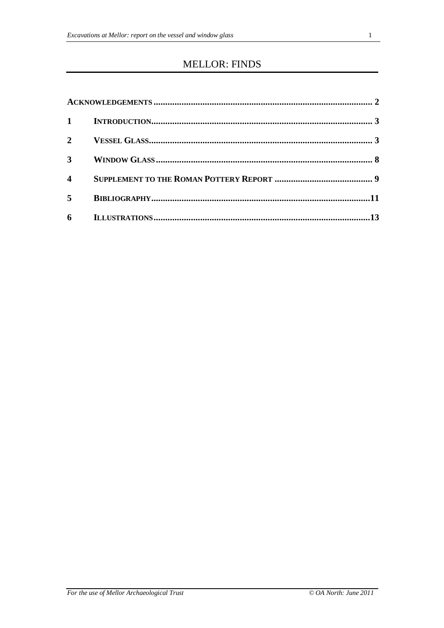## **MELLOR: FINDS**

| $1 \quad \blacksquare$ |  |
|------------------------|--|
| $2^{\circ}$            |  |
| $\mathbf{3}$           |  |
| $\boldsymbol{4}$       |  |
| $5^{\circ}$            |  |
| 6                      |  |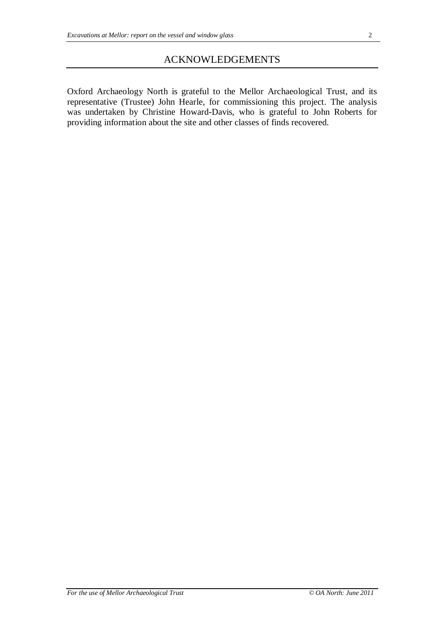Oxford Archaeology North is grateful to the Mellor Archaeological Trust, and its representative (Trustee) John Hearle, for commissioning this project. The analysis was undertaken by Christine Howard-Davis, who is grateful to John Roberts for providing information about the site and other classes of finds recovered.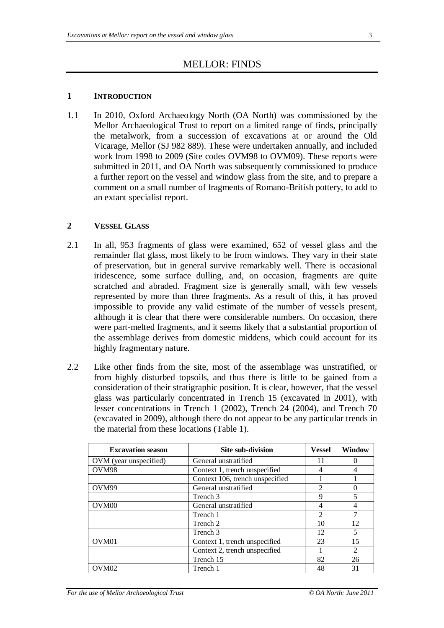## MELLOR: FINDS

#### **1 INTRODUCTION**

1.1 In 2010, Oxford Archaeology North (OA North) was commissioned by the Mellor Archaeological Trust to report on a limited range of finds, principally the metalwork, from a succession of excavations at or around the Old Vicarage, Mellor (SJ 982 889). These were undertaken annually, and included work from 1998 to 2009 (Site codes OVM98 to OVM09). These reports were submitted in 2011, and OA North was subsequently commissioned to produce a further report on the vessel and window glass from the site, and to prepare a comment on a small number of fragments of Romano-British pottery, to add to an extant specialist report.

#### **2 VESSEL GLASS**

- 2.1 In all, 953 fragments of glass were examined, 652 of vessel glass and the remainder flat glass, most likely to be from windows. They vary in their state of preservation, but in general survive remarkably well. There is occasional iridescence, some surface dulling, and, on occasion, fragments are quite scratched and abraded. Fragment size is generally small, with few vessels represented by more than three fragments. As a result of this, it has proved impossible to provide any valid estimate of the number of vessels present, although it is clear that there were considerable numbers. On occasion, there were part-melted fragments, and it seems likely that a substantial proportion of the assemblage derives from domestic middens, which could account for its highly fragmentary nature.
- 2.2 Like other finds from the site, most of the assemblage was unstratified, or from highly disturbed topsoils, and thus there is little to be gained from a consideration of their stratigraphic position. It is clear, however, that the vessel glass was particularly concentrated in Trench 15 (excavated in 2001), with lesser concentrations in Trench 1 (2002), Trench 24 (2004), and Trench 70 (excavated in 2009), although there do not appear to be any particular trends in the material from these locations (Table 1).

| <b>Excavation season</b> | Site sub-division               | <b>Vessel</b>               | Window |  |
|--------------------------|---------------------------------|-----------------------------|--------|--|
| OVM (year unspecified)   | General unstratified            |                             |        |  |
| OVM98                    | Context 1, trench unspecified   | 4                           | 4      |  |
|                          | Context 106, trench unspecified |                             |        |  |
| OVM <sub>99</sub>        | General unstratified            | 2                           | 0      |  |
|                          | Trench 3                        | 9                           | 5      |  |
| OVM <sub>00</sub>        | General unstratified            | 4                           | 4      |  |
|                          | Trench 1                        | $\mathcal{D}_{\mathcal{L}}$ | 7      |  |
|                          | Trench 2                        | 10                          | 12     |  |
|                          | Trench 3                        | 12                          | 5      |  |
| OVM <sub>01</sub>        | Context 1, trench unspecified   | 23                          | 15     |  |
|                          | Context 2, trench unspecified   |                             | 2      |  |
|                          | Trench 15                       | 82                          | 26     |  |
| OVM02                    | Trench 1                        | 48                          | 31     |  |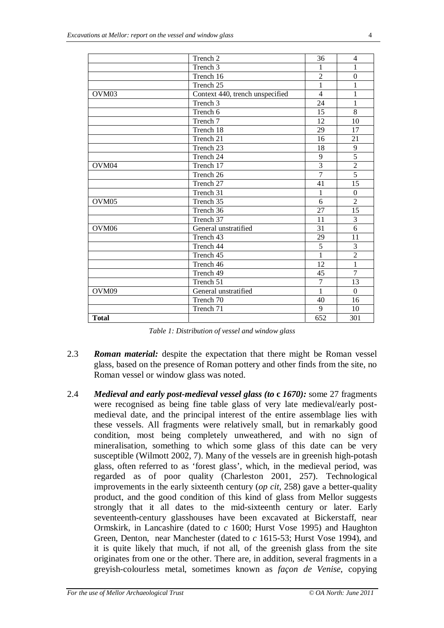|                   | Trench 2                        | 36             | 4              |
|-------------------|---------------------------------|----------------|----------------|
|                   | Trench 3                        | 1              | 1              |
|                   | Trench 16                       | $\overline{2}$ | $\Omega$       |
|                   | Trench 25                       | $\mathbf{1}$   | 1              |
| OVM <sub>03</sub> | Context 440, trench unspecified | $\overline{4}$ | 1              |
|                   | Trench <sub>3</sub>             | 24             | $\mathbf{1}$   |
|                   | Trench 6                        | 15             | 8              |
|                   | Trench 7                        | 12             | 10             |
|                   | Trench 18                       | 29             | 17             |
|                   | Trench 21                       | 16             | 21             |
|                   | Trench 23                       | 18             | 9              |
|                   | Trench 24                       | 9              | $\overline{5}$ |
| OVM <sub>04</sub> | Trench 17                       | $\overline{3}$ | $\overline{2}$ |
|                   | Trench 26                       | $\overline{7}$ | $\overline{5}$ |
|                   | Trench 27                       | 41             | 15             |
|                   | Trench 31                       | $\mathbf{1}$   | $\Omega$       |
| OVM <sub>05</sub> | Trench 35                       | 6              | $\overline{2}$ |
|                   | Trench $36$                     | 27             | 15             |
|                   | Trench 37                       | 11             | $\overline{3}$ |
| OVM <sub>06</sub> | General unstratified            | 31             | 6              |
|                   | Trench 43                       | 29             | 11             |
|                   | Trench 44                       | $\overline{5}$ | 3              |
|                   | Trench 45                       | $\overline{1}$ | $\overline{2}$ |
|                   | Trench 46                       | 12             | $\mathbf{1}$   |
|                   | Trench 49                       | 45             | $\overline{7}$ |
|                   | Trench 51                       | $\overline{7}$ | 13             |
| OVM <sub>09</sub> | General unstratified            | 1              | $\overline{0}$ |
|                   | Trench 70                       | 40             | 16             |
|                   | Trench 71                       | 9              | 10             |
| <b>Total</b>      |                                 | 652            | 301            |

*Table 1: Distribution of vessel and window glass*

- 2.3 *Roman material:* despite the expectation that there might be Roman vessel glass, based on the presence of Roman pottery and other finds from the site, no Roman vessel or window glass was noted.
- 2.4 *Medieval and early post-medieval vessel glass (to* **c** *1670):* some 27 fragments were recognised as being fine table glass of very late medieval/early postmedieval date, and the principal interest of the entire assemblage lies with these vessels. All fragments were relatively small, but in remarkably good condition, most being completely unweathered, and with no sign of mineralisation, something to which some glass of this date can be very susceptible (Wilmott 2002, 7). Many of the vessels are in greenish high-potash glass, often referred to as 'forest glass', which, in the medieval period, was regarded as of poor quality (Charleston 2001, 257). Technological improvements in the early sixteenth century (*op cit*, 258) gave a better-quality product, and the good condition of this kind of glass from Mellor suggests strongly that it all dates to the mid-sixteenth century or later. Early seventeenth-century glasshouses have been excavated at Bickerstaff, near Ormskirk, in Lancashire (dated to *c* 1600; Hurst Vose 1995) and Haughton Green, Denton, near Manchester (dated to *c* 1615-53; Hurst Vose 1994), and it is quite likely that much, if not all, of the greenish glass from the site originates from one or the other. There are, in addition, several fragments in a greyish-colourless metal, sometimes known as *façon de Venise*, copying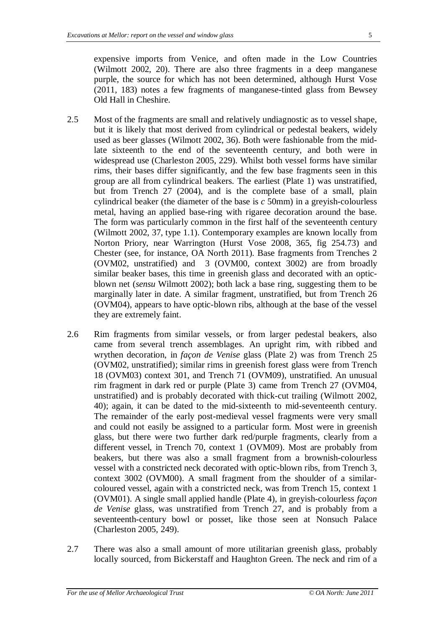expensive imports from Venice, and often made in the Low Countries (Wilmott 2002, 20). There are also three fragments in a deep manganese purple, the source for which has not been determined, although Hurst Vose (2011, 183) notes a few fragments of manganese-tinted glass from Bewsey Old Hall in Cheshire.

- 2.5 Most of the fragments are small and relatively undiagnostic as to vessel shape, but it is likely that most derived from cylindrical or pedestal beakers, widely used as beer glasses (Wilmott 2002, 36). Both were fashionable from the midlate sixteenth to the end of the seventeenth century, and both were in widespread use (Charleston 2005, 229). Whilst both vessel forms have similar rims, their bases differ significantly, and the few base fragments seen in this group are all from cylindrical beakers. The earliest (Plate 1) was unstratified, but from Trench 27 (2004), and is the complete base of a small, plain cylindrical beaker (the diameter of the base is *c* 50mm) in a greyish-colourless metal, having an applied base-ring with rigaree decoration around the base. The form was particularly common in the first half of the seventeenth century (Wilmott 2002, 37, type 1.1). Contemporary examples are known locally from Norton Priory, near Warrington (Hurst Vose 2008, 365, fig 254.73) and Chester (see, for instance, OA North 2011). Base fragments from Trenches 2 (OVM02, unstratified) and 3 (OVM00, context 3002) are from broadly similar beaker bases, this time in greenish glass and decorated with an opticblown net (*sensu* Wilmott 2002); both lack a base ring, suggesting them to be marginally later in date. A similar fragment, unstratified, but from Trench 26 (OVM04), appears to have optic-blown ribs, although at the base of the vessel they are extremely faint.
- 2.6 Rim fragments from similar vessels, or from larger pedestal beakers, also came from several trench assemblages. An upright rim, with ribbed and wrythen decoration, in *façon de Venise* glass (Plate 2) was from Trench 25 (OVM02, unstratified); similar rims in greenish forest glass were from Trench 18 (OVM03) context 301, and Trench 71 (OVM09), unstratified. An unusual rim fragment in dark red or purple (Plate 3) came from Trench 27 (OVM04, unstratified) and is probably decorated with thick-cut trailing (Wilmott 2002, 40); again, it can be dated to the mid-sixteenth to mid-seventeenth century. The remainder of the early post-medieval vessel fragments were very small and could not easily be assigned to a particular form. Most were in greenish glass, but there were two further dark red/purple fragments, clearly from a different vessel, in Trench 70, context 1 (OVM09). Most are probably from beakers, but there was also a small fragment from a brownish-colourless vessel with a constricted neck decorated with optic-blown ribs, from Trench 3, context 3002 (OVM00). A small fragment from the shoulder of a similarcoloured vessel, again with a constricted neck, was from Trench 15, context 1 (OVM01). A single small applied handle (Plate 4), in greyish-colourless *façon de Venise* glass, was unstratified from Trench 27, and is probably from a seventeenth-century bowl or posset, like those seen at Nonsuch Palace (Charleston 2005, 249).
- 2.7 There was also a small amount of more utilitarian greenish glass, probably locally sourced, from Bickerstaff and Haughton Green. The neck and rim of a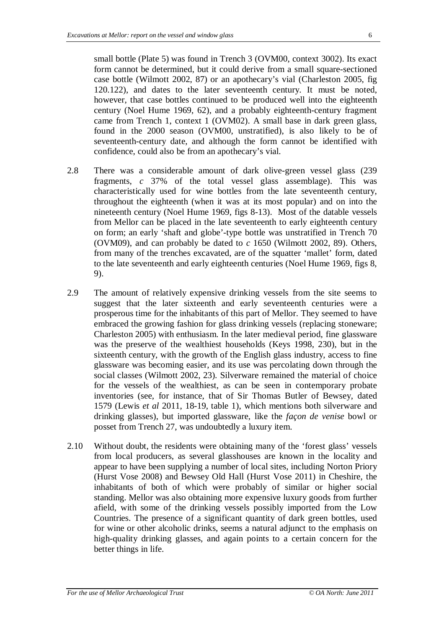small bottle (Plate 5) was found in Trench 3 (OVM00, context 3002). Its exact form cannot be determined, but it could derive from a small square-sectioned case bottle (Wilmott 2002, 87) or an apothecary's vial (Charleston 2005, fig 120.122), and dates to the later seventeenth century. It must be noted, however, that case bottles continued to be produced well into the eighteenth century (Noel Hume 1969, 62), and a probably eighteenth-century fragment came from Trench 1, context 1 (OVM02). A small base in dark green glass, found in the 2000 season (OVM00, unstratified), is also likely to be of seventeenth-century date, and although the form cannot be identified with confidence, could also be from an apothecary's vial.

- 2.8 There was a considerable amount of dark olive-green vessel glass (239 fragments, *c* 37% of the total vessel glass assemblage). This was characteristically used for wine bottles from the late seventeenth century, throughout the eighteenth (when it was at its most popular) and on into the nineteenth century (Noel Hume 1969, figs 8-13). Most of the datable vessels from Mellor can be placed in the late seventeenth to early eighteenth century on form; an early 'shaft and globe'-type bottle was unstratified in Trench 70 (OVM09), and can probably be dated to *c* 1650 (Wilmott 2002, 89). Others, from many of the trenches excavated, are of the squatter 'mallet' form, dated to the late seventeenth and early eighteenth centuries (Noel Hume 1969, figs 8, 9).
- 2.9 The amount of relatively expensive drinking vessels from the site seems to suggest that the later sixteenth and early seventeenth centuries were a prosperous time for the inhabitants of this part of Mellor. They seemed to have embraced the growing fashion for glass drinking vessels (replacing stoneware; Charleston 2005) with enthusiasm. In the later medieval period, fine glassware was the preserve of the wealthiest households (Keys 1998, 230), but in the sixteenth century, with the growth of the English glass industry, access to fine glassware was becoming easier, and its use was percolating down through the social classes (Wilmott 2002, 23). Silverware remained the material of choice for the vessels of the wealthiest, as can be seen in contemporary probate inventories (see, for instance, that of Sir Thomas Butler of Bewsey, dated 1579 (Lewis *et al* 2011, 18-19, table 1), which mentions both silverware and drinking glasses), but imported glassware, like the *façon de venise* bowl or posset from Trench 27, was undoubtedly a luxury item.
- 2.10 Without doubt, the residents were obtaining many of the 'forest glass' vessels from local producers, as several glasshouses are known in the locality and appear to have been supplying a number of local sites, including Norton Priory (Hurst Vose 2008) and Bewsey Old Hall (Hurst Vose 2011) in Cheshire, the inhabitants of both of which were probably of similar or higher social standing. Mellor was also obtaining more expensive luxury goods from further afield, with some of the drinking vessels possibly imported from the Low Countries. The presence of a significant quantity of dark green bottles, used for wine or other alcoholic drinks, seems a natural adjunct to the emphasis on high-quality drinking glasses, and again points to a certain concern for the better things in life.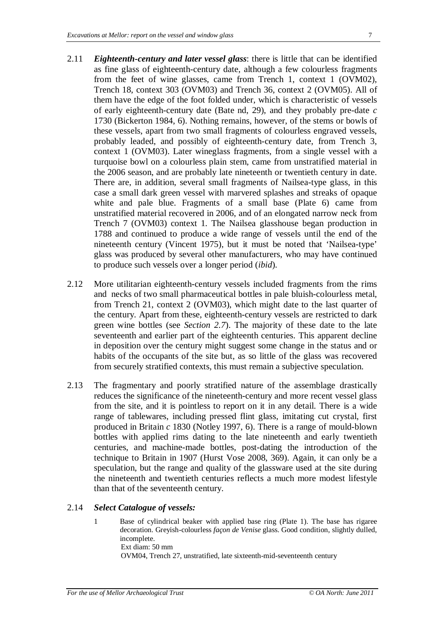- 2.11 *Eighteenth-century and later vessel glass*: there is little that can be identified as fine glass of eighteenth-century date, although a few colourless fragments from the feet of wine glasses, came from Trench 1, context 1 (OVM02), Trench 18, context 303 (OVM03) and Trench 36, context 2 (OVM05). All of them have the edge of the foot folded under, which is characteristic of vessels of early eighteenth-century date (Bate nd, 29), and they probably pre-date *c* 1730 (Bickerton 1984, 6). Nothing remains, however, of the stems or bowls of these vessels, apart from two small fragments of colourless engraved vessels, probably leaded, and possibly of eighteenth-century date, from Trench 3, context 1 (OVM03). Later wineglass fragments, from a single vessel with a turquoise bowl on a colourless plain stem, came from unstratified material in the 2006 season, and are probably late nineteenth or twentieth century in date. There are, in addition, several small fragments of Nailsea-type glass, in this case a small dark green vessel with marvered splashes and streaks of opaque white and pale blue. Fragments of a small base (Plate 6) came from unstratified material recovered in 2006, and of an elongated narrow neck from Trench 7 (OVM03) context 1. The Nailsea glasshouse began production in 1788 and continued to produce a wide range of vessels until the end of the nineteenth century (Vincent 1975), but it must be noted that 'Nailsea-type' glass was produced by several other manufacturers, who may have continued to produce such vessels over a longer period (*ibid*).
- 2.12 More utilitarian eighteenth-century vessels included fragments from the rims and necks of two small pharmaceutical bottles in pale bluish-colourless metal, from Trench 21, context 2 (OVM03), which might date to the last quarter of the century. Apart from these, eighteenth-century vessels are restricted to dark green wine bottles (see *Section 2.7*). The majority of these date to the late seventeenth and earlier part of the eighteenth centuries. This apparent decline in deposition over the century might suggest some change in the status and or habits of the occupants of the site but, as so little of the glass was recovered from securely stratified contexts, this must remain a subjective speculation.
- 2.13 The fragmentary and poorly stratified nature of the assemblage drastically reduces the significance of the nineteenth-century and more recent vessel glass from the site, and it is pointless to report on it in any detail. There is a wide range of tablewares, including pressed flint glass, imitating cut crystal, first produced in Britain *c* 1830 (Notley 1997, 6). There is a range of mould-blown bottles with applied rims dating to the late nineteenth and early twentieth centuries, and machine-made bottles, post-dating the introduction of the technique to Britain in 1907 (Hurst Vose 2008, 369). Again, it can only be a speculation, but the range and quality of the glassware used at the site during the nineteenth and twentieth centuries reflects a much more modest lifestyle than that of the seventeenth century.

#### 2.14 *Select Catalogue of vessels:*

1 Base of cylindrical beaker with applied base ring (Plate 1). The base has rigaree decoration. Greyish-colourless *façon de Venise* glass. Good condition, slightly dulled, incomplete. Ext diam: 50 mm OVM04, Trench 27, unstratified, late sixteenth-mid-seventeenth century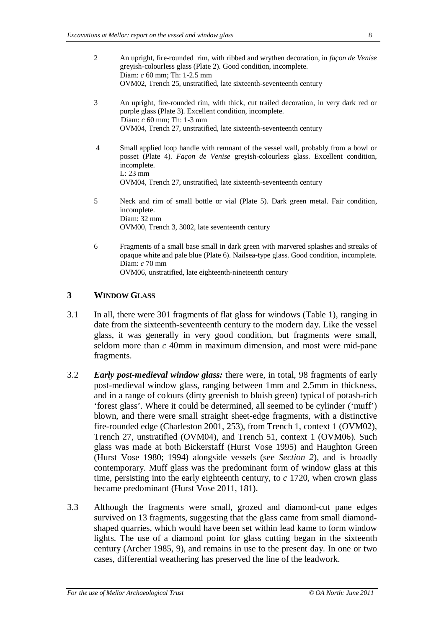- 2 An upright, fire-rounded rim, with ribbed and wrythen decoration, in *façon de Venise* greyish-colourless glass (Plate 2). Good condition, incomplete. Diam: *c* 60 mm; Th: 1-2.5 mm OVM02, Trench 25, unstratified, late sixteenth-seventeenth century
- 3 An upright, fire-rounded rim, with thick, cut trailed decoration, in very dark red or purple glass (Plate 3). Excellent condition, incomplete. Diam: *c* 60 mm; Th: 1-3 mm OVM04, Trench 27, unstratified, late sixteenth-seventeenth century
- 4 Small applied loop handle with remnant of the vessel wall, probably from a bowl or posset (Plate 4). *Façon de Venise* greyish-colourless glass. Excellent condition, incomplete. L: 23 mm OVM04, Trench 27, unstratified, late sixteenth-seventeenth century
- 5 Neck and rim of small bottle or vial (Plate 5). Dark green metal. Fair condition, incomplete. Diam: 32 mm OVM00, Trench 3, 3002, late seventeenth century
- 6 Fragments of a small base small in dark green with marvered splashes and streaks of opaque white and pale blue (Plate 6). Nailsea-type glass. Good condition, incomplete. Diam: *c* 70 mm OVM06, unstratified, late eighteenth-nineteenth century

#### **3 WINDOW GLASS**

- 3.1 In all, there were 301 fragments of flat glass for windows (Table 1), ranging in date from the sixteenth-seventeenth century to the modern day. Like the vessel glass, it was generally in very good condition, but fragments were small, seldom more than *c* 40mm in maximum dimension, and most were mid-pane fragments.
- 3.2 *Early post-medieval window glass:* there were, in total, 98 fragments of early post-medieval window glass, ranging between 1mm and 2.5mm in thickness, and in a range of colours (dirty greenish to bluish green) typical of potash-rich 'forest glass'. Where it could be determined, all seemed to be cylinder ('muff') blown, and there were small straight sheet-edge fragments, with a distinctive fire-rounded edge (Charleston 2001, 253), from Trench 1, context 1 (OVM02), Trench 27, unstratified (OVM04), and Trench 51, context 1 (OVM06). Such glass was made at both Bickerstaff (Hurst Vose 1995) and Haughton Green (Hurst Vose 1980; 1994) alongside vessels (see *Section 2*), and is broadly contemporary. Muff glass was the predominant form of window glass at this time, persisting into the early eighteenth century, to *c* 1720, when crown glass became predominant (Hurst Vose 2011, 181).
- 3.3 Although the fragments were small, grozed and diamond-cut pane edges survived on 13 fragments, suggesting that the glass came from small diamondshaped quarries, which would have been set within lead kame to form window lights. The use of a diamond point for glass cutting began in the sixteenth century (Archer 1985, 9), and remains in use to the present day. In one or two cases, differential weathering has preserved the line of the leadwork.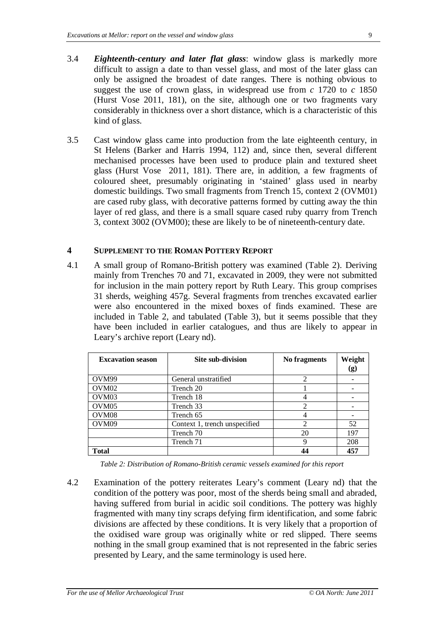- 3.4 *Eighteenth-century and later flat glass*: window glass is markedly more difficult to assign a date to than vessel glass, and most of the later glass can only be assigned the broadest of date ranges. There is nothing obvious to suggest the use of crown glass, in widespread use from *c* 1720 to *c* 1850 (Hurst Vose 2011, 181), on the site, although one or two fragments vary considerably in thickness over a short distance, which is a characteristic of this kind of glass.
- 3.5 Cast window glass came into production from the late eighteenth century, in St Helens (Barker and Harris 1994, 112) and, since then, several different mechanised processes have been used to produce plain and textured sheet glass (Hurst Vose 2011, 181). There are, in addition, a few fragments of coloured sheet, presumably originating in 'stained' glass used in nearby domestic buildings. Two small fragments from Trench 15, context 2 (OVM01) are cased ruby glass, with decorative patterns formed by cutting away the thin layer of red glass, and there is a small square cased ruby quarry from Trench 3, context 3002 (OVM00); these are likely to be of nineteenth-century date.

#### **4 SUPPLEMENT TO THE ROMAN POTTERY REPORT**

4.1 A small group of Romano-British pottery was examined (Table 2). Deriving mainly from Trenches 70 and 71, excavated in 2009, they were not submitted for inclusion in the main pottery report by Ruth Leary. This group comprises 31 sherds, weighing 457g. Several fragments from trenches excavated earlier were also encountered in the mixed boxes of finds examined. These are included in Table 2, and tabulated (Table 3), but it seems possible that they have been included in earlier catalogues, and thus are likely to appear in Leary's archive report (Leary nd).

| <b>Excavation season</b> | <b>Site sub-division</b>      | No fragments   | Weight<br>(g) |
|--------------------------|-------------------------------|----------------|---------------|
| OVM <sub>99</sub>        | General unstratified          | $\overline{c}$ |               |
| OVM <sub>02</sub>        | Trench 20                     |                |               |
| OVM <sub>03</sub>        | Trench 18                     |                |               |
| OVM <sub>05</sub>        | Trench 33                     | $\mathfrak{D}$ |               |
| OVM <sub>08</sub>        | Trench 65                     |                |               |
| OVM <sub>09</sub>        | Context 1, trench unspecified | $\overline{2}$ | 52            |
|                          | Trench 70                     | 20             | 197           |
|                          | Trench 71                     | 9              | 208           |
| <b>Total</b>             |                               |                | 457           |

*Table 2: Distribution of Romano-British ceramic vessels examined for this report*

4.2 Examination of the pottery reiterates Leary's comment (Leary nd) that the condition of the pottery was poor, most of the sherds being small and abraded, having suffered from burial in acidic soil conditions. The pottery was highly fragmented with many tiny scraps defying firm identification, and some fabric divisions are affected by these conditions. It is very likely that a proportion of the oxidised ware group was originally white or red slipped. There seems nothing in the small group examined that is not represented in the fabric series presented by Leary, and the same terminology is used here.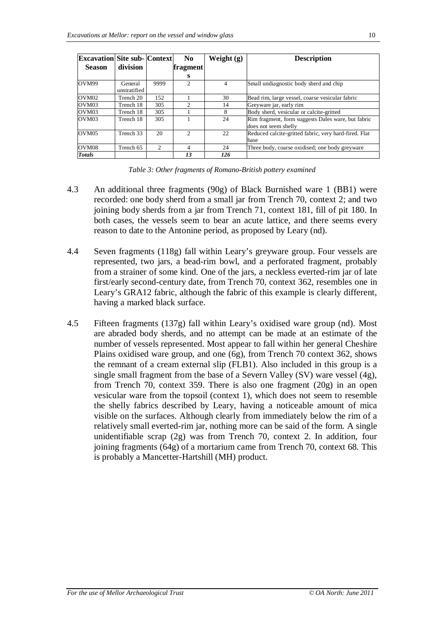| <b>Excavation Site sub- Context</b> |                         |                | No.                         | Weight (g) | <b>Description</b>                                                         |
|-------------------------------------|-------------------------|----------------|-----------------------------|------------|----------------------------------------------------------------------------|
| <b>Season</b>                       | division                |                | fragment                    |            |                                                                            |
|                                     |                         |                | s                           |            |                                                                            |
| OVM99                               | General<br>unstratified | 9999           | $\mathfrak{D}$              | 4          | Small undiagnostic body sherd and chip                                     |
| OVM <sub>02</sub>                   | Trench 20               | 152            |                             | 30         | Bead rim, large vessel, coarse vesicular fabric                            |
| OVM <sub>03</sub>                   | Trench 18               | 305            | $\mathcal{D}_{\mathcal{A}}$ | 14         | Greyware jar, early rim                                                    |
| OVM <sub>03</sub>                   | Trench 18               | 305            |                             | 8          | Body sherd, vesicular or calcite-gritted                                   |
| OVM <sub>03</sub>                   | Trench 18               | 305            |                             | 24         | Rim fragment, form suggests Dales ware, but fabric<br>does not seem shelly |
| OVM <sub>05</sub>                   | Trench 33               | 20             | $\mathcal{D}$               | 22         | Reduced calcite-gritted fabric, very hard-fired. Flat<br>base              |
| OVM08                               | Trench 65               | $\mathfrak{D}$ | 4                           | 24         | Three body, coarse oxidised; one body greyware                             |
| <b>Totals</b>                       |                         |                | 13                          | 126        |                                                                            |

| Table 3: Other fragments of Romano-British pottery examined |  |  |
|-------------------------------------------------------------|--|--|
|-------------------------------------------------------------|--|--|

- 4.3 An additional three fragments (90g) of Black Burnished ware 1 (BB1) were recorded: one body sherd from a small jar from Trench 70, context 2; and two joining body sherds from a jar from Trench 71, context 181, fill of pit 180. In both cases, the vessels seem to bear an acute lattice, and there seems every reason to date to the Antonine period, as proposed by Leary (nd).
- 4.4 Seven fragments (118g) fall within Leary's greyware group. Four vessels are represented, two jars, a bead-rim bowl, and a perforated fragment, probably from a strainer of some kind. One of the jars, a neckless everted-rim jar of late first/early second-century date, from Trench 70, context 362, resembles one in Leary's GRA12 fabric, although the fabric of this example is clearly different, having a marked black surface.
- 4.5 Fifteen fragments (137g) fall within Leary's oxidised ware group (nd). Most are abraded body sherds, and no attempt can be made at an estimate of the number of vessels represented. Most appear to fall within her general Cheshire Plains oxidised ware group, and one (6g), from Trench 70 context 362, shows the remnant of a cream external slip (FLB1). Also included in this group is a single small fragment from the base of a Severn Valley (SV) ware vessel (4g), from Trench 70, context 359. There is also one fragment (20g) in an open vesicular ware from the topsoil (context 1), which does not seem to resemble the shelly fabrics described by Leary, having a noticeable amount of mica visible on the surfaces. Although clearly from immediately below the rim of a relatively small everted-rim jar, nothing more can be said of the form. A single unidentifiable scrap (2g) was from Trench 70, context 2. In addition, four joining fragments (64g) of a mortarium came from Trench 70, context 68. This is probably a Mancetter-Hartshill (MH) product.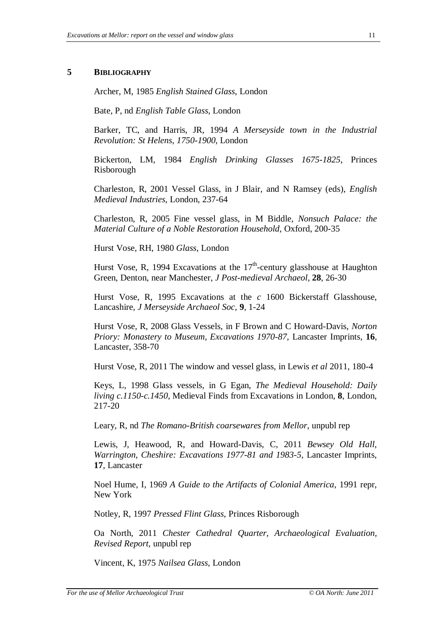#### **5 BIBLIOGRAPHY**

Archer, M, 1985 *English Stained Glass*, London

Bate, P, nd *English Table Glass*, London

Barker, TC, and Harris, JR, 1994 *A Merseyside town in the Industrial Revolution: St Helens, 1750-1900*, London

Bickerton, LM, 1984 *English Drinking Glasses 1675-1825*, Princes Risborough

Charleston, R, 2001 Vessel Glass, in J Blair, and N Ramsey (eds), *English Medieval Industries*, London, 237-64

Charleston, R, 2005 Fine vessel glass, in M Biddle, *Nonsuch Palace: the Material Culture of a Noble Restoration Household*, Oxford, 200-35

Hurst Vose, RH, 1980 *Glass*, London

Hurst Vose, R, 1994 Excavations at the  $17<sup>th</sup>$ -century glasshouse at Haughton Green, Denton, near Manchester, *J Post-medieval Archaeol*, **28**, 26-30

Hurst Vose, R, 1995 Excavations at the *c* 1600 Bickerstaff Glasshouse, Lancashire, *J Merseyside Archaeol Soc*, **9**, 1-24

Hurst Vose, R, 2008 Glass Vessels, in F Brown and C Howard-Davis, *Norton Priory: Monastery to Museum, Excavations 1970-87,* Lancaster Imprints, **16**, Lancaster, 358-70

Hurst Vose, R, 2011 The window and vessel glass, in Lewis *et al* 2011, 180-4

Keys, L, 1998 Glass vessels, in G Egan, *The Medieval Household: Daily living c.1150-c.1450*, Medieval Finds from Excavations in London, **8**, London, 217-20

Leary, R, nd *The Romano-British coarsewares from Mellor*, unpubl rep

Lewis, J, Heawood, R, and Howard-Davis, C, 2011 *Bewsey Old Hall, Warrington, Cheshire: Excavations 1977-81 and 1983-5*, Lancaster Imprints, **17**, Lancaster

Noel Hume, I, 1969 *A Guide to the Artifacts of Colonial America*, 1991 repr, New York

Notley, R, 1997 *Pressed Flint Glass*, Princes Risborough

Oa North, 2011 *Chester Cathedral Quarter, Archaeological Evaluation, Revised Report*, unpubl rep

Vincent, K, 1975 *Nailsea Glass*, London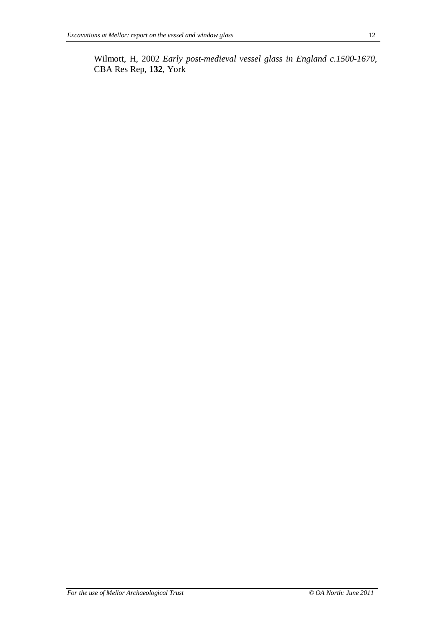Wilmott, H, 2002 *Early post-medieval vessel glass in England c.1500-1670*, CBA Res Rep, **132**, York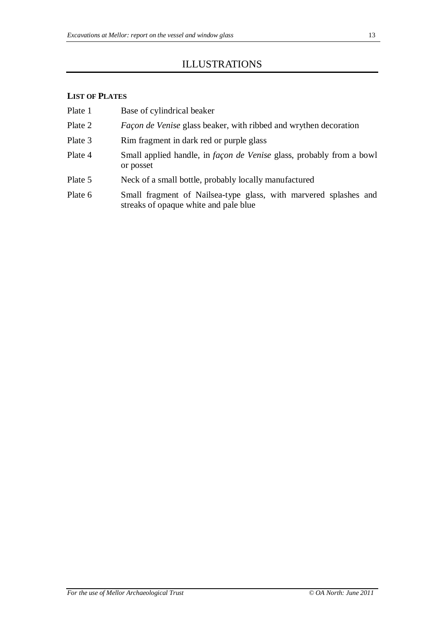## ILLUSTRATIONS

## **LIST OF PLATES**

| Plate 1 | Base of cylindrical beaker |
|---------|----------------------------|
|---------|----------------------------|

- Plate 2 *Façon de Venise* glass beaker, with ribbed and wrythen decoration
- Plate 3 Rim fragment in dark red or purple glass
- Plate 4 Small applied handle, in *façon de Venise* glass, probably from a bowl or posset
- Plate 5 Neck of a small bottle, probably locally manufactured
- Plate 6 Small fragment of Nailsea-type glass, with marvered splashes and streaks of opaque white and pale blue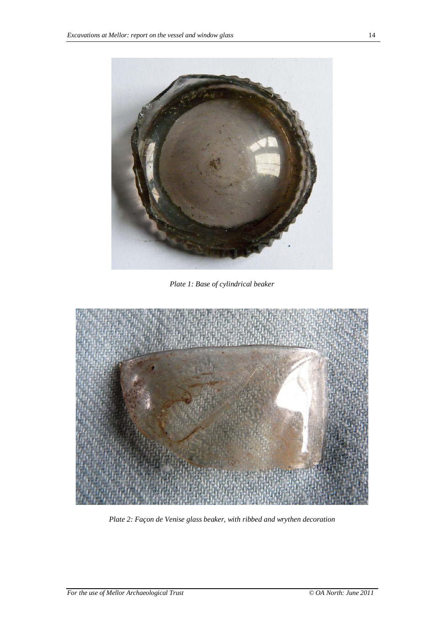

*Plate 1: Base of cylindrical beaker*



*Plate 2: Façon de Venise glass beaker, with ribbed and wrythen decoration*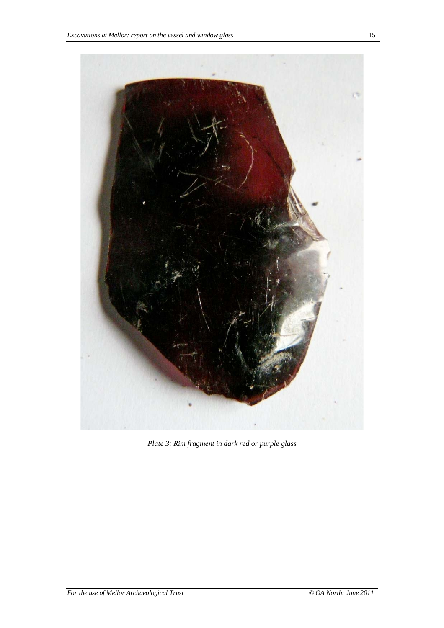

*Plate 3: Rim fragment in dark red or purple glass*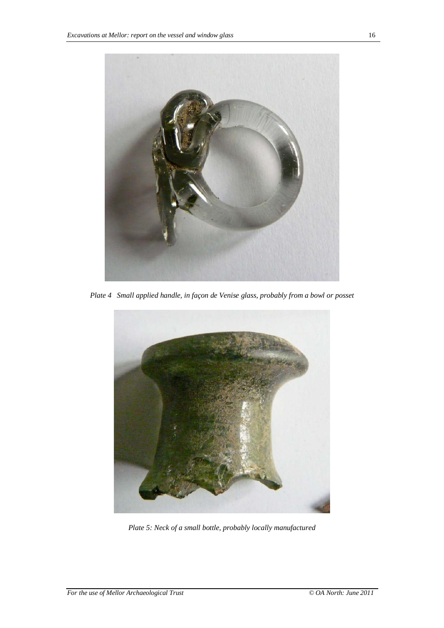

*Plate 4 Small applied handle, in façon de Venise glass, probably from a bowl or posset*



*Plate 5: Neck of a small bottle, probably locally manufactured*